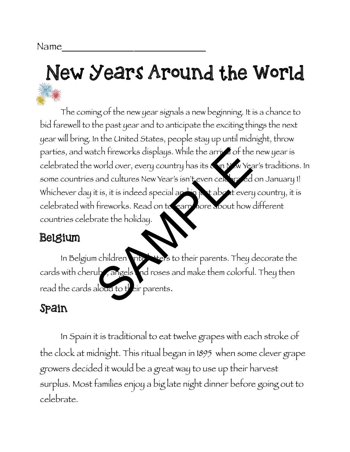# New Years Around the World

The coming of the new year signals a new beginning. It is a chance to bid farewell to the past year and to anticipate the exciting things the next year will bring. In the United States, people stay up until midnight, throw parties, and watch fireworks displays. While the arrival of the new year is celebrated the world over, every country has its own New Year's traditions. In some countries and cultures New Year's isn't even celebrated on January 1! Whichever day it is, it is indeed special and in just about every country, it is celebrated with fireworks. Read on to earn hore about how different countries celebrate the holiday. tch fireworks displays. While the arrived of the<br>world over, every country has its on New Year<br>and cultures New Year's isn't even cell and the state of<br>tis, it is indeed special and the about every<br>fireworks. Read on to ea

## Belgium

In Belgium children write letters to their parents. They decorate the cards with cherubs, angels and roses and make them colorful. They then read the cards aloud to  $t'$  eir parents.

## Spain

In Spain it is traditional to eat twelve grapes with each stroke of the clock at midnight. This ritual began in 1895 when some clever grape growers decided it would be a great way to use up their harvest surplus. Most families enjoy a big late night dinner before going out to celebrate.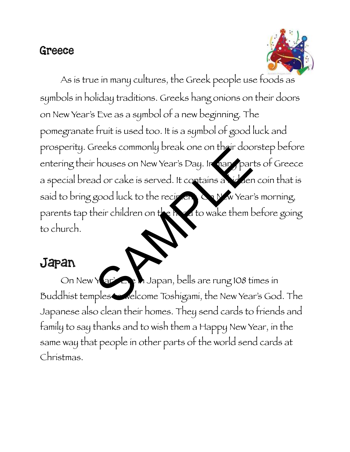#### Greece



As is true in many cultures, the Greek people use foods as symbols in holiday traditions. Greeks hang onions on their doors on New Year's Eve as a symbol of a new beginning. The pomegranate fruit is used too. It is a symbol of good luck and prosperity. Greeks commonly break one on their doorstep before entering their houses on New Year's Day. In many parts of Greece a special bread or cake is served. It contains a hidden coin that is said to bring good luck to the recipient. On New Year's morning, parents tap their children on the head to wake them before going to church. The Maria Commonly Break one on their door<br>houses on New Year's Day. Ir hard par<br>do or cake is served. It contains a vieler<br>good luck to the recircation with Year<br>neir children on the Roto wake them b<br>ples welcome Toshigam

# Japan

On New Yar's Eve M Japan, bells are rung 108 times in Buddhist temples velcome Toshigami, the New Year's God. The Japanese also clean their homes. They send cards to friends and family to say thanks and to wish them a Happy New Year, in the same way that people in other parts of the world send cards at Christmas.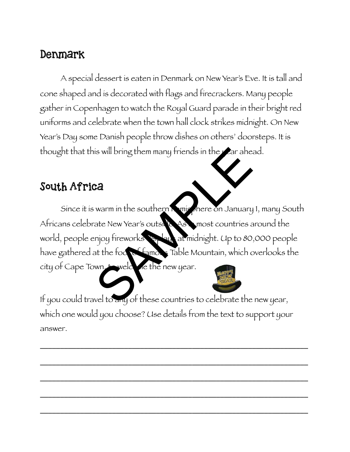## Denmark

A special dessert is eaten in Denmark on New Year's Eve. It is tall and cone shaped and is decorated with flags and firecrackers. Many people gather in Copenhagen to watch the Royal Guard parade in their bright red uniforms and celebrate when the town hall clock strikes midnight. On New Year's Day some Danish people throw dishes on others' doorsteps. It is thought that this will bring them many friends in the year ahead.

#### South Africa

Since it is warm in the southern **Amisphere on January 1, many South** Africans celebrate New Year's outside. As a most countries around the world, people enjoy fireworks toplay at midnight. Up to 80,000 people have gathered at the foot of famous Table Mountain, which overlooks the city of Cape Town, to welcome the new year. SA<br>
SERIES Will bring them many friends in the sar ahe.<br>
SERIES Warm in the southern many there on January<br>
at New Year's outside As most countries a<br>
migrory fireworks<br>
at the focus of them in Table Mountain, which countr

If you could travel to any of these countries to celebrate the new year, which one would you choose? Use details from the text to support your answer.

\_\_\_\_\_\_\_\_\_\_\_\_\_\_\_\_\_\_\_\_\_\_\_\_\_\_\_\_\_\_\_\_\_\_\_\_\_\_\_\_\_\_\_\_\_\_\_\_\_\_\_\_\_\_\_\_\_\_\_\_\_\_\_\_\_\_\_

\_\_\_\_\_\_\_\_\_\_\_\_\_\_\_\_\_\_\_\_\_\_\_\_\_\_\_\_\_\_\_\_\_\_\_\_\_\_\_\_\_\_\_\_\_\_\_\_\_\_\_\_\_\_\_\_\_\_\_\_\_\_\_\_\_\_\_

\_\_\_\_\_\_\_\_\_\_\_\_\_\_\_\_\_\_\_\_\_\_\_\_\_\_\_\_\_\_\_\_\_\_\_\_\_\_\_\_\_\_\_\_\_\_\_\_\_\_\_\_\_\_\_\_\_\_\_\_\_\_\_\_\_\_\_

\_\_\_\_\_\_\_\_\_\_\_\_\_\_\_\_\_\_\_\_\_\_\_\_\_\_\_\_\_\_\_\_\_\_\_\_\_\_\_\_\_\_\_\_\_\_\_\_\_\_\_\_\_\_\_\_\_\_\_\_\_\_\_\_\_\_\_

\_\_\_\_\_\_\_\_\_\_\_\_\_\_\_\_\_\_\_\_\_\_\_\_\_\_\_\_\_\_\_\_\_\_\_\_\_\_\_\_\_\_\_\_\_\_\_\_\_\_\_\_\_\_\_\_\_\_\_\_\_\_\_\_\_\_\_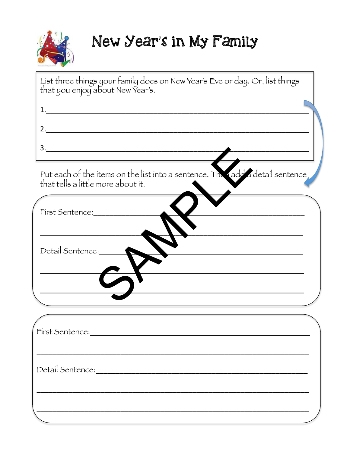

# New Year's in My Family

| List three things your family does on New Year's Eve or day. Or, list things that you enjoy about New Year's.       |
|---------------------------------------------------------------------------------------------------------------------|
|                                                                                                                     |
|                                                                                                                     |
| 3.                                                                                                                  |
|                                                                                                                     |
| Put each of the items on the list into a sentence. The rade a detail sentence<br>that tells a little more about it. |
| First Sentence:                                                                                                     |
|                                                                                                                     |
| Detail Sentence:                                                                                                    |
|                                                                                                                     |
|                                                                                                                     |
|                                                                                                                     |
| First Sentence:                                                                                                     |
|                                                                                                                     |
|                                                                                                                     |
|                                                                                                                     |
|                                                                                                                     |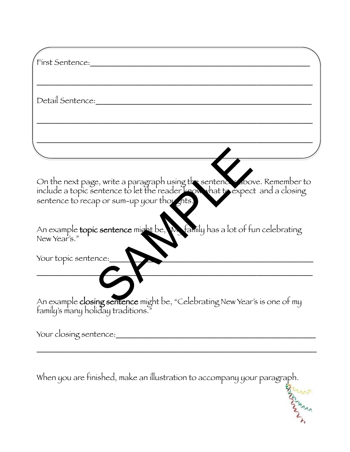| First Sentence:                                                                                                                                                                                      |
|------------------------------------------------------------------------------------------------------------------------------------------------------------------------------------------------------|
|                                                                                                                                                                                                      |
| Detail Sentence:                                                                                                                                                                                     |
|                                                                                                                                                                                                      |
|                                                                                                                                                                                                      |
| On the next page, write a paragraph using the sentence above. Remember to include a topic sentence to let the reader know that to expect and a closing<br>sentence to recap or sum-up your thoughts. |
| An example topic sentence might be, was family has a lot of fun celebrating                                                                                                                          |
| Your topic sentence:                                                                                                                                                                                 |
|                                                                                                                                                                                                      |
| An example closing sentence might be, "Celebrating New Year's is one of my family's many holiday traditions."                                                                                        |
| Your closing sentence:                                                                                                                                                                               |

When you are finished, make an illustration to accompany your paragraph.

\_\_\_\_\_\_\_\_\_\_\_\_\_\_\_\_\_\_\_\_\_\_\_\_\_\_\_\_\_\_\_\_\_\_\_\_\_\_\_\_\_\_\_\_\_\_\_\_\_\_\_\_\_\_\_\_\_\_\_\_\_\_\_\_\_\_\_\_\_\_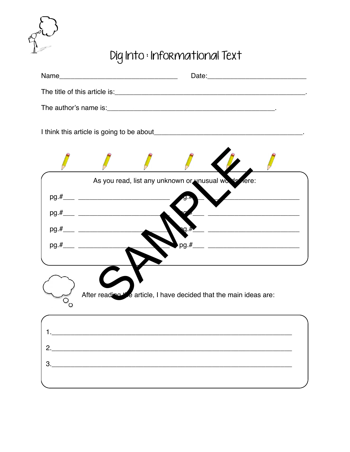

# Dig Into : Informational Text

| Name |                                                                                          |
|------|------------------------------------------------------------------------------------------|
|      |                                                                                          |
|      |                                                                                          |
|      |                                                                                          |
|      |                                                                                          |
|      | As you read, list any unknown or unusual works fere:                                     |
|      |                                                                                          |
|      | <u> 1980 - Johann John Stone, mars eta biztanleria (</u>                                 |
|      | $\Omega$ . $\eta$<br><u>.</u><br>1992 - Januar John Harry, margintaniar martx (h. 1908). |
|      |                                                                                          |
|      |                                                                                          |
|      |                                                                                          |
|      | After reading the article, I have decided that the main ideas are:                       |
|      |                                                                                          |
|      |                                                                                          |
|      |                                                                                          |
|      |                                                                                          |
|      |                                                                                          |